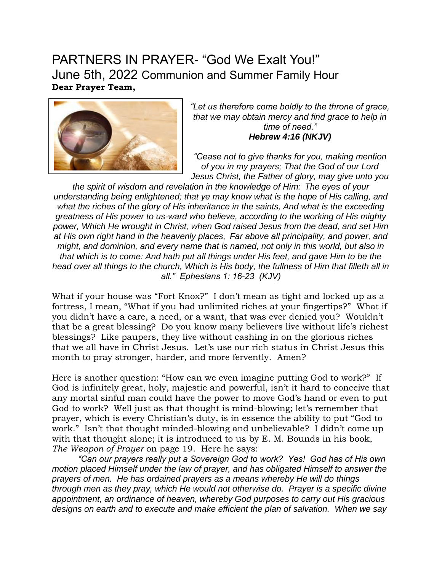## PARTNERS IN PRAYER- "God We Exalt You!" June 5th, 2022 Communion and Summer Family Hour **Dear Prayer Team,**



*"Let us therefore come boldly to the throne of grace, that we may obtain mercy and find grace to help in time of need." Hebrew 4:16 (NKJV)*

*"Cease not to give thanks for you, making mention of you in my prayers; That the God of our Lord Jesus Christ, the Father of glory, may give unto you* 

*the spirit of wisdom and revelation in the knowledge of Him: The eyes of your understanding being enlightened; that ye may know what is the hope of His calling, and what the riches of the glory of His inheritance in the saints, And what is the exceeding greatness of His power to us-ward who believe, according to the working of His mighty power, Which He wrought in Christ, when God raised Jesus from the dead, and set Him at His own right hand in the heavenly places, Far above all principality, and power, and might, and dominion, and every name that is named, not only in this world, but also in that which is to come: And hath put all things under His feet, and gave Him to be the head over all things to the church, Which is His body, the fullness of Him that filleth all in all." Ephesians 1: 16-23 (KJV)*

What if your house was "Fort Knox?" I don't mean as tight and locked up as a fortress, I mean, "What if you had unlimited riches at your fingertips?" What if you didn't have a care, a need, or a want, that was ever denied you? Wouldn't that be a great blessing? Do you know many believers live without life's richest blessings? Like paupers, they live without cashing in on the glorious riches that we all have in Christ Jesus. Let's use our rich status in Christ Jesus this month to pray stronger, harder, and more fervently. Amen?

Here is another question: "How can we even imagine putting God to work?" If God is infinitely great, holy, majestic and powerful, isn't it hard to conceive that any mortal sinful man could have the power to move God's hand or even to put God to work? Well just as that thought is mind-blowing; let's remember that prayer, which is every Christian's duty, is in essence the ability to put "God to work." Isn't that thought minded-blowing and unbelievable? I didn't come up with that thought alone; it is introduced to us by E. M. Bounds in his book, *The Weapon of Prayer* on page 19. Here he says:

*"Can our prayers really put a Sovereign God to work? Yes! God has of His own motion placed Himself under the law of prayer, and has obligated Himself to answer the prayers of men. He has ordained prayers as a means whereby He will do things through men as they pray, which He would not otherwise do. Prayer is a specific divine appointment, an ordinance of heaven, whereby God purposes to carry out His gracious designs on earth and to execute and make efficient the plan of salvation. When we say*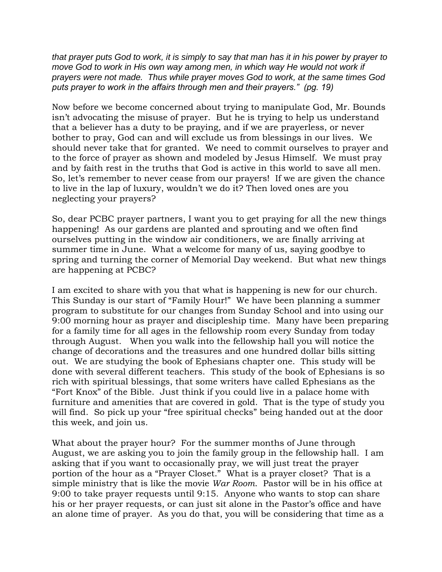*that prayer puts God to work, it is simply to say that man has it in his power by prayer to move God to work in His own way among men, in which way He would not work if prayers were not made. Thus while prayer moves God to work, at the same times God puts prayer to work in the affairs through men and their prayers." (pg. 19)*

Now before we become concerned about trying to manipulate God, Mr. Bounds isn't advocating the misuse of prayer. But he is trying to help us understand that a believer has a duty to be praying, and if we are prayerless, or never bother to pray, God can and will exclude us from blessings in our lives. We should never take that for granted. We need to commit ourselves to prayer and to the force of prayer as shown and modeled by Jesus Himself. We must pray and by faith rest in the truths that God is active in this world to save all men. So, let's remember to never cease from our prayers! If we are given the chance to live in the lap of luxury, wouldn't we do it? Then loved ones are you neglecting your prayers?

So, dear PCBC prayer partners, I want you to get praying for all the new things happening! As our gardens are planted and sprouting and we often find ourselves putting in the window air conditioners, we are finally arriving at summer time in June. What a welcome for many of us, saying goodbye to spring and turning the corner of Memorial Day weekend. But what new things are happening at PCBC?

I am excited to share with you that what is happening is new for our church. This Sunday is our start of "Family Hour!" We have been planning a summer program to substitute for our changes from Sunday School and into using our 9:00 morning hour as prayer and discipleship time. Many have been preparing for a family time for all ages in the fellowship room every Sunday from today through August. When you walk into the fellowship hall you will notice the change of decorations and the treasures and one hundred dollar bills sitting out. We are studying the book of Ephesians chapter one. This study will be done with several different teachers. This study of the book of Ephesians is so rich with spiritual blessings, that some writers have called Ephesians as the "Fort Knox" of the Bible. Just think if you could live in a palace home with furniture and amenities that are covered in gold. That is the type of study you will find. So pick up your "free spiritual checks" being handed out at the door this week, and join us.

What about the prayer hour? For the summer months of June through August, we are asking you to join the family group in the fellowship hall. I am asking that if you want to occasionally pray, we will just treat the prayer portion of the hour as a "Prayer Closet." What is a prayer closet? That is a simple ministry that is like the movie *War Room*. Pastor will be in his office at 9:00 to take prayer requests until 9:15. Anyone who wants to stop can share his or her prayer requests, or can just sit alone in the Pastor's office and have an alone time of prayer. As you do that, you will be considering that time as a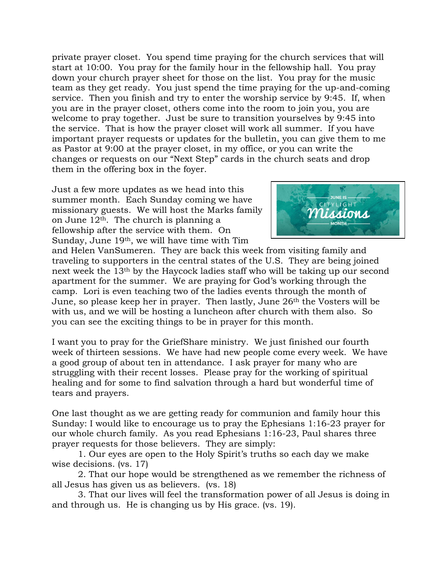private prayer closet. You spend time praying for the church services that will start at 10:00. You pray for the family hour in the fellowship hall. You pray down your church prayer sheet for those on the list. You pray for the music team as they get ready. You just spend the time praying for the up-and-coming service. Then you finish and try to enter the worship service by 9:45. If, when you are in the prayer closet, others come into the room to join you, you are welcome to pray together. Just be sure to transition yourselves by 9:45 into the service. That is how the prayer closet will work all summer. If you have important prayer requests or updates for the bulletin, you can give them to me as Pastor at 9:00 at the prayer closet, in my office, or you can write the changes or requests on our "Next Step" cards in the church seats and drop them in the offering box in the foyer.

Just a few more updates as we head into this summer month. Each Sunday coming we have missionary guests. We will host the Marks family on June  $12<sup>th</sup>$ . The church is planning a fellowship after the service with them. On Sunday, June 19th, we will have time with Tim



and Helen VanSumeren. They are back this week from visiting family and traveling to supporters in the central states of the U.S. They are being joined next week the 13th by the Haycock ladies staff who will be taking up our second apartment for the summer. We are praying for God's working through the camp. Lori is even teaching two of the ladies events through the month of June, so please keep her in prayer. Then lastly, June 26th the Vosters will be with us, and we will be hosting a luncheon after church with them also. So you can see the exciting things to be in prayer for this month.

I want you to pray for the GriefShare ministry. We just finished our fourth week of thirteen sessions. We have had new people come every week. We have a good group of about ten in attendance. I ask prayer for many who are struggling with their recent losses. Please pray for the working of spiritual healing and for some to find salvation through a hard but wonderful time of tears and prayers.

One last thought as we are getting ready for communion and family hour this Sunday: I would like to encourage us to pray the Ephesians 1:16-23 prayer for our whole church family. As you read Ephesians 1:16-23, Paul shares three prayer requests for those believers. They are simply:

1. Our eyes are open to the Holy Spirit's truths so each day we make wise decisions. (vs. 17)

2. That our hope would be strengthened as we remember the richness of all Jesus has given us as believers. (vs. 18)

3. That our lives will feel the transformation power of all Jesus is doing in and through us. He is changing us by His grace. (vs. 19).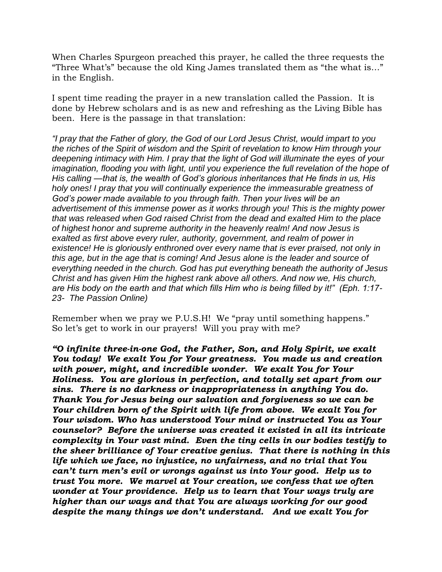When Charles Spurgeon preached this prayer, he called the three requests the "Three What's" because the old King James translated them as "the what is…" in the English.

I spent time reading the prayer in a new translation called the Passion. It is done by Hebrew scholars and is as new and refreshing as the Living Bible has been. Here is the passage in that translation:

*"I pray that the Father of glory, the God of our Lord Jesus Christ, would impart to you the riches of the Spirit of wisdom and the Spirit of revelation to know Him through your deepening intimacy with Him. I pray that the light of God will illuminate the eyes of your*  imagination, flooding you with light, until you experience the full revelation of the hope of *His calling —that is, the wealth of God's glorious inheritances that He finds in us, His holy ones! I pray that you will continually experience the immeasurable greatness of God's power made available to you through faith. Then your lives will be an advertisement of this immense power as it works through you! This is the mighty power that was released when God raised Christ from the dead and exalted Him to the place of highest honor and supreme authority in the heavenly realm! And now Jesus is exalted as first above every ruler, authority, government, and realm of power in existence! He is gloriously enthroned over every name that is ever praised, not only in this age, but in the age that is coming! And Jesus alone is the leader and source of everything needed in the church. God has put everything beneath the authority of Jesus Christ and has given Him the highest rank above all others. And now we, His church, are His body on the earth and that which fills Him who is being filled by it!" (Eph. 1:17- 23- The Passion Online)*

Remember when we pray we P.U.S.H! We "pray until something happens." So let's get to work in our prayers! Will you pray with me?

*"O infinite three-in-one God, the Father, Son, and Holy Spirit, we exalt You today! We exalt You for Your greatness. You made us and creation with power, might, and incredible wonder. We exalt You for Your Holiness. You are glorious in perfection, and totally set apart from our sins. There is no darkness or inappropriateness in anything You do. Thank You for Jesus being our salvation and forgiveness so we can be Your children born of the Spirit with life from above. We exalt You for Your wisdom. Who has understood Your mind or instructed You as Your counselor? Before the universe was created it existed in all its intricate complexity in Your vast mind. Even the tiny cells in our bodies testify to the sheer brilliance of Your creative genius. That there is nothing in this life which we face, no injustice, no unfairness, and no trial that You can't turn men's evil or wrongs against us into Your good. Help us to trust You more. We marvel at Your creation, we confess that we often wonder at Your providence. Help us to learn that Your ways truly are higher than our ways and that You are always working for our good despite the many things we don't understand. And we exalt You for*